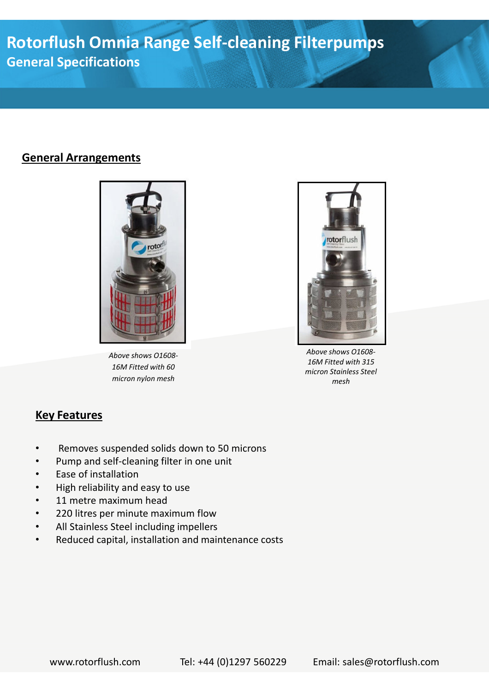**Rotorflush Omnia Range Self-cleaning Filterpumps General Specifications**

#### **General Arrangements**



*Above shows O1608- 16M Fitted with 60 micron nylon mesh*



*Above shows O1608- 16M Fitted with 315 micron Stainless Steel mesh*

### **Key Features**

- Removes suspended solids down to 50 microns
- Pump and self-cleaning filter in one unit
- Ease of installation
- High reliability and easy to use
- 11 metre maximum head
- 220 litres per minute maximum flow
- All Stainless Steel including impellers
- Reduced capital, installation and maintenance costs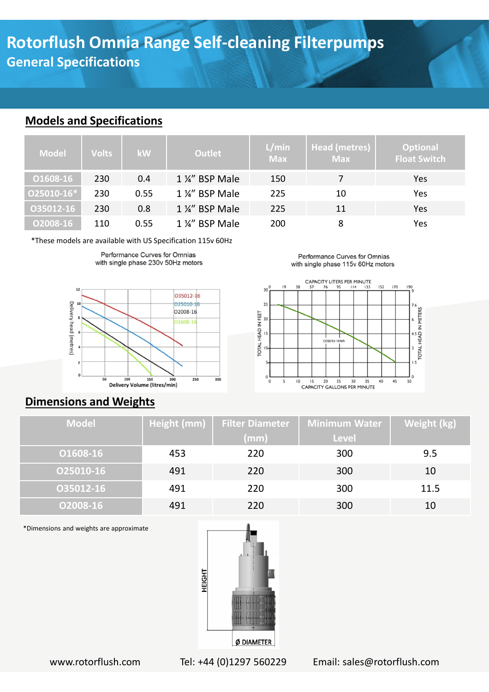# **Rotorflush Omnia Range Self-cleaning Filterpumps General Specifications**

#### **Models and Specifications**

| <b>Model</b> | <b>Volts</b> | <b>kW</b> | Outlet          | L/min<br><b>Max</b> | Head (metres)<br><b>Max</b> | <b>Optional</b><br><b>Float Switch</b> |
|--------------|--------------|-----------|-----------------|---------------------|-----------------------------|----------------------------------------|
| 01608-16     | 230          | 0.4       | 1 ¼" BSP Male   | 150                 |                             | Yes                                    |
| O25010-16*   | 230          | 0.55      | 1 %" BSP Male   | 225                 | 10                          | Yes                                    |
| 035012-16    | 230          | 0.8       | 1 1/4" BSP Male | 225                 | 11                          | Yes                                    |
| O2008-16     | 110          | 0.55      | 1 %" BSP Male   | 200                 | 8                           | Yes                                    |

\*These models are available with US Specification 115v 60Hz





## **Dimensions and Weights**

| <b>Model</b> | Height (mm) | <b>Filter Diameter</b><br>(mm) | <b>Minimum Water</b><br><b>Level</b> | Weight (kg) |
|--------------|-------------|--------------------------------|--------------------------------------|-------------|
| 01608-16     | 453         | 220                            | 300                                  | 9.5         |
| 025010-16    | 491         | 220                            | 300                                  | 10          |
| 035012-16    | 491         | 220                            | 300                                  | 11.5        |
| 02008-16     | 491         | 220                            | 300                                  | 10          |

\*Dimensions and weights are approximate



www.rotorflush.com Tel: +44 (0)1297 560229 Email: sales@rotorflush.com

Performance Curves for Omnias with single phase 115v 60Hz motors